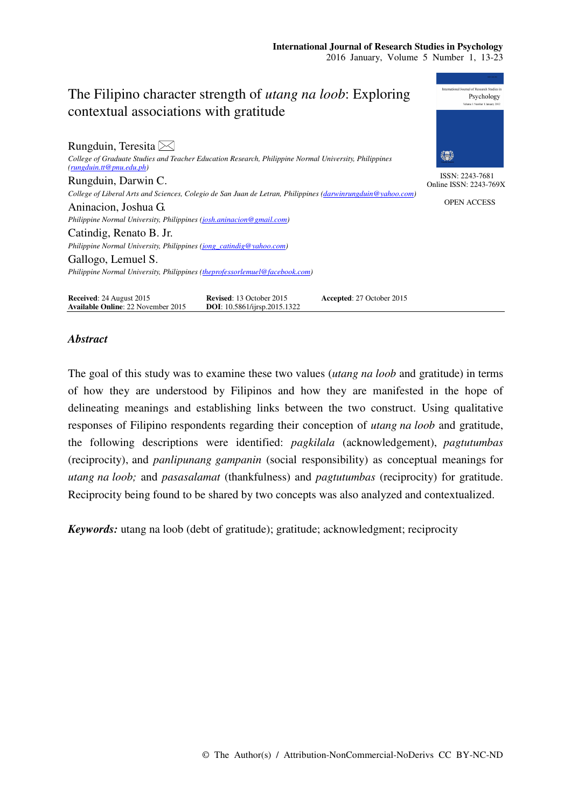Psychology

# The Filipino character strength of *utang na loob*: Exploring contextual associations with gratitude

| Rungduin, Teresita $\boxtimes$                                                                                                    |                                           |
|-----------------------------------------------------------------------------------------------------------------------------------|-------------------------------------------|
| College of Graduate Studies and Teacher Education Research, Philippine Normal University, Philippines<br>(rungduin.t@pnu.edu.php) | 纂                                         |
| Rungduin, Darwin C.                                                                                                               | ISSN: 2243-7681<br>Online ISSN: 2243-769X |
| College of Liberal Arts and Sciences, Colegio de San Juan de Letran, Philippines (darwinrungduin@yahoo.com)                       |                                           |
| Aninacion, Joshua G.                                                                                                              | <b>OPEN ACCESS</b>                        |
| Philippine Normal University, Philippines (josh.aninacion@gmail.com)                                                              |                                           |
| Catindig, Renato B. Jr.                                                                                                           |                                           |
| Philippine Normal University, Philippines (jong_catindig@yahoo.com)                                                               |                                           |
| Gallogo, Lemuel S.                                                                                                                |                                           |
| Philippine Normal University, Philippines (theprofessorlemuel@facebook.com)                                                       |                                           |
|                                                                                                                                   |                                           |

**Received:** 24 August 2015 **Revised**: 13 October 2015 **Accepted**: 27 October 2015 **Available Online**: 22 November 2015 **DOI**: 10.5861/ijrsp.2015.1322 **Available Online**: 22 November 2015

# *Abstract*

The goal of this study was to examine these two values (*utang na loob* and gratitude) in terms of how they are understood by Filipinos and how they are manifested in the hope of delineating meanings and establishing links between the two construct. Using qualitative responses of Filipino respondents regarding their conception of *utang na loob* and gratitude, the following descriptions were identified: *pagkilala* (acknowledgement), *pagtutumbas* (reciprocity), and *panlipunang gampanin* (social responsibility) as conceptual meanings for *utang na loob;* and *pasasalamat* (thankfulness) and *pagtutumbas* (reciprocity) for gratitude. Reciprocity being found to be shared by two concepts was also analyzed and contextualized.

*Keywords:* utang na loob (debt of gratitude); gratitude; acknowledgment; reciprocity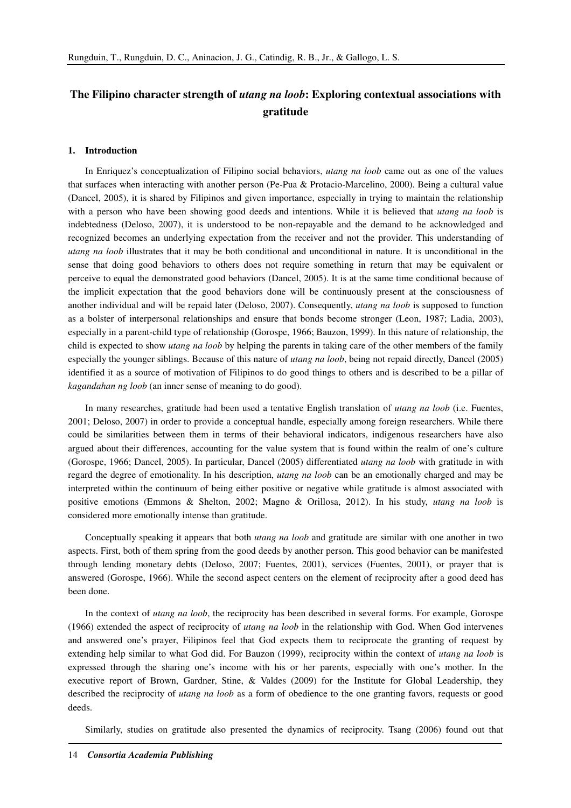# **The Filipino character strength of** *utang na loob***: Exploring contextual associations with gratitude**

#### **1. Introduction**

In Enriquez's conceptualization of Filipino social behaviors, *utang na loob* came out as one of the values that surfaces when interacting with another person (Pe-Pua & Protacio-Marcelino, 2000). Being a cultural value (Dancel, 2005), it is shared by Filipinos and given importance, especially in trying to maintain the relationship with a person who have been showing good deeds and intentions. While it is believed that *utang na loob* is indebtedness (Deloso, 2007), it is understood to be non-repayable and the demand to be acknowledged and recognized becomes an underlying expectation from the receiver and not the provider. This understanding of *utang na loob* illustrates that it may be both conditional and unconditional in nature. It is unconditional in the sense that doing good behaviors to others does not require something in return that may be equivalent or perceive to equal the demonstrated good behaviors (Dancel, 2005). It is at the same time conditional because of the implicit expectation that the good behaviors done will be continuously present at the consciousness of another individual and will be repaid later (Deloso, 2007). Consequently, *utang na loob* is supposed to function as a bolster of interpersonal relationships and ensure that bonds become stronger (Leon, 1987; Ladia, 2003), especially in a parent-child type of relationship (Gorospe, 1966; Bauzon, 1999). In this nature of relationship, the child is expected to show *utang na loob* by helping the parents in taking care of the other members of the family especially the younger siblings. Because of this nature of *utang na loob*, being not repaid directly, Dancel (2005) identified it as a source of motivation of Filipinos to do good things to others and is described to be a pillar of *kagandahan ng loob* (an inner sense of meaning to do good).

In many researches, gratitude had been used a tentative English translation of *utang na loob* (i.e. Fuentes, 2001; Deloso, 2007) in order to provide a conceptual handle, especially among foreign researchers. While there could be similarities between them in terms of their behavioral indicators, indigenous researchers have also argued about their differences, accounting for the value system that is found within the realm of one's culture (Gorospe, 1966; Dancel, 2005). In particular, Dancel (2005) differentiated *utang na loob* with gratitude in with regard the degree of emotionality. In his description, *utang na loob* can be an emotionally charged and may be interpreted within the continuum of being either positive or negative while gratitude is almost associated with positive emotions (Emmons & Shelton, 2002; Magno & Orillosa, 2012). In his study, *utang na loob* is considered more emotionally intense than gratitude.

Conceptually speaking it appears that both *utang na loob* and gratitude are similar with one another in two aspects. First, both of them spring from the good deeds by another person. This good behavior can be manifested through lending monetary debts (Deloso, 2007; Fuentes, 2001), services (Fuentes, 2001), or prayer that is answered (Gorospe, 1966). While the second aspect centers on the element of reciprocity after a good deed has been done.

In the context of *utang na loob*, the reciprocity has been described in several forms. For example, Gorospe (1966) extended the aspect of reciprocity of *utang na loob* in the relationship with God. When God intervenes and answered one's prayer, Filipinos feel that God expects them to reciprocate the granting of request by extending help similar to what God did. For Bauzon (1999), reciprocity within the context of *utang na loob* is expressed through the sharing one's income with his or her parents, especially with one's mother. In the executive report of Brown, Gardner, Stine, & Valdes (2009) for the Institute for Global Leadership, they described the reciprocity of *utang na loob* as a form of obedience to the one granting favors, requests or good deeds.

Similarly, studies on gratitude also presented the dynamics of reciprocity. Tsang (2006) found out that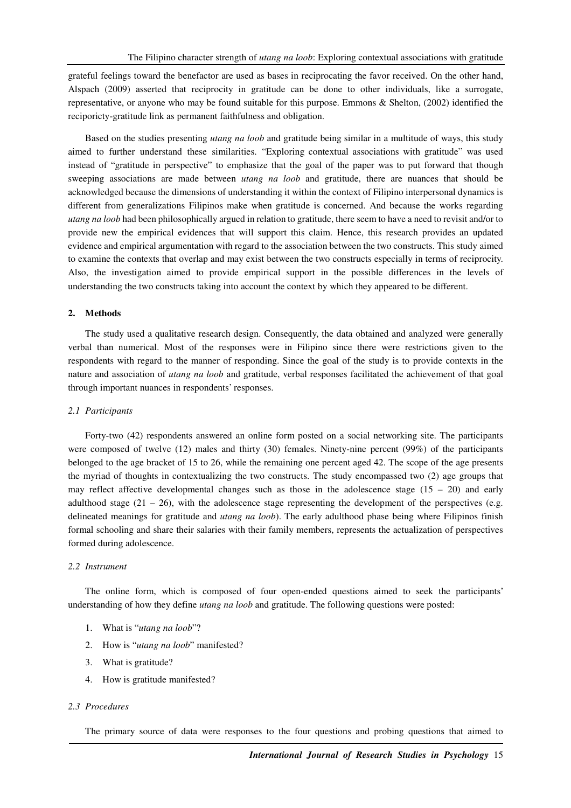grateful feelings toward the benefactor are used as bases in reciprocating the favor received. On the other hand, Alspach (2009) asserted that reciprocity in gratitude can be done to other individuals, like a surrogate, representative, or anyone who may be found suitable for this purpose. Emmons & Shelton, (2002) identified the reciporicty-gratitude link as permanent faithfulness and obligation.

Based on the studies presenting *utang na loob* and gratitude being similar in a multitude of ways, this study aimed to further understand these similarities. "Exploring contextual associations with gratitude" was used instead of "gratitude in perspective" to emphasize that the goal of the paper was to put forward that though sweeping associations are made between *utang na loob* and gratitude, there are nuances that should be acknowledged because the dimensions of understanding it within the context of Filipino interpersonal dynamics is different from generalizations Filipinos make when gratitude is concerned. And because the works regarding *utang na loob* had been philosophically argued in relation to gratitude, there seem to have a need to revisit and/or to provide new the empirical evidences that will support this claim. Hence, this research provides an updated evidence and empirical argumentation with regard to the association between the two constructs. This study aimed to examine the contexts that overlap and may exist between the two constructs especially in terms of reciprocity. Also, the investigation aimed to provide empirical support in the possible differences in the levels of understanding the two constructs taking into account the context by which they appeared to be different.

## **2. Methods**

The study used a qualitative research design. Consequently, the data obtained and analyzed were generally verbal than numerical. Most of the responses were in Filipino since there were restrictions given to the respondents with regard to the manner of responding. Since the goal of the study is to provide contexts in the nature and association of *utang na loob* and gratitude, verbal responses facilitated the achievement of that goal through important nuances in respondents' responses.

#### *2.1 Participants*

Forty-two (42) respondents answered an online form posted on a social networking site. The participants were composed of twelve (12) males and thirty (30) females. Ninety-nine percent (99%) of the participants belonged to the age bracket of 15 to 26, while the remaining one percent aged 42. The scope of the age presents the myriad of thoughts in contextualizing the two constructs. The study encompassed two (2) age groups that may reflect affective developmental changes such as those in the adolescence stage  $(15 - 20)$  and early adulthood stage  $(21 – 26)$ , with the adolescence stage representing the development of the perspectives (e.g. delineated meanings for gratitude and *utang na loob*). The early adulthood phase being where Filipinos finish formal schooling and share their salaries with their family members, represents the actualization of perspectives formed during adolescence.

# *2.2 Instrument*

The online form, which is composed of four open-ended questions aimed to seek the participants' understanding of how they define *utang na loob* and gratitude. The following questions were posted:

- 1. What is "*utang na loob*"?
- 2. How is "*utang na loob*" manifested?
- 3. What is gratitude?
- 4. How is gratitude manifested?

#### *2.3 Procedures*

The primary source of data were responses to the four questions and probing questions that aimed to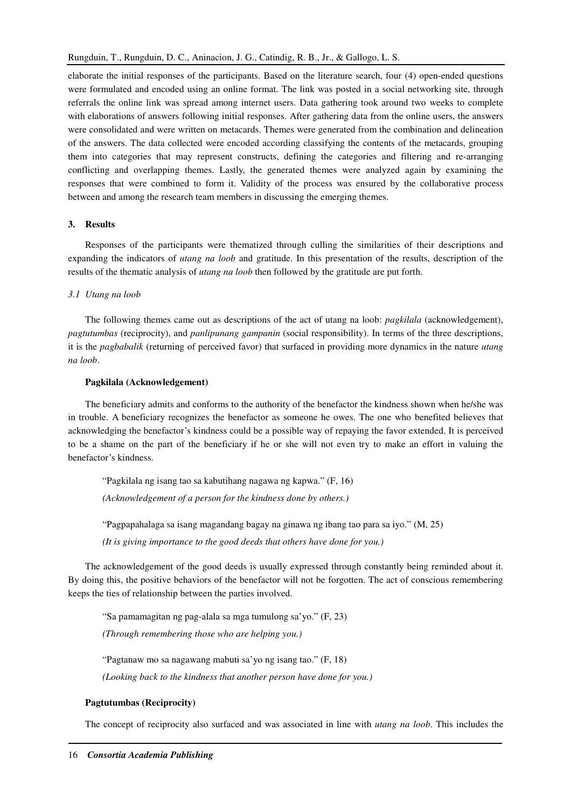elaborate the initial responses of the participants. Based on the literature search, four (4) open-ended questions were formulated and encoded using an online format. The link was posted in a social networking site, through referrals the online link was spread among internet users. Data gathering took around two weeks to complete with elaborations of answers following initial responses. After gathering data from the online users, the answers were consolidated and were written on metacards. Themes were generated from the combination and delineation of the answers. The data collected were encoded according classifying the contents of the metacards, grouping them into categories that may represent constructs, defining the categories and filtering and re-arranging conflicting and overlapping themes. Lastly, the generated themes were analyzed again by examining the responses that were combined to form it. Validity of the process was ensured by the collaborative process between and among the research team members in discussing the emerging themes.

#### **3. Results**

Responses of the participants were thematized through culling the similarities of their descriptions and expanding the indicators of *utang na loob* and gratitude. In this presentation of the results, description of the results of the thematic analysis of *utang na loob* then followed by the gratitude are put forth.

#### *3.1 Utang na loob*

The following themes came out as descriptions of the act of utang na loob: *pagkilala* (acknowledgement), *pagtutumbas* (reciprocity), and *panlipunang gampanin* (social responsibility). In terms of the three descriptions, it is the *pagbabalik* (returning of perceived favor) that surfaced in providing more dynamics in the nature *utang na loob*.

# **Pagkilala (Acknowledgement)**

The beneficiary admits and conforms to the authority of the benefactor the kindness shown when he/she was in trouble. A beneficiary recognizes the benefactor as someone he owes. The one who benefited believes that acknowledging the benefactor's kindness could be a possible way of repaying the favor extended. It is perceived to be a shame on the part of the beneficiary if he or she will not even try to make an effort in valuing the benefactor's kindness.

"Pagkilala ng isang tao sa kabutihang nagawa ng kapwa." (F, 16) *(Acknowledgement of a person for the kindness done by others.)*  "Pagpapahalaga sa isang magandang bagay na ginawa ng ibang tao para sa iyo." (M, 25) *(It is giving importance to the good deeds that others have done for you.)* 

The acknowledgement of the good deeds is usually expressed through constantly being reminded about it. By doing this, the positive behaviors of the benefactor will not be forgotten. The act of conscious remembering keeps the ties of relationship between the parties involved.

"Sa pamamagitan ng pag-alala sa mga tumulong sa'yo." (F, 23) *(Through remembering those who are helping you.)* 

"Pagtanaw mo sa nagawang mabuti sa'yo ng isang tao." (F, 18) *(Looking back to the kindness that another person have done for you.)* 

#### **Pagtutumbas (Reciprocity)**

The concept of reciprocity also surfaced and was associated in line with *utang na loob*. This includes the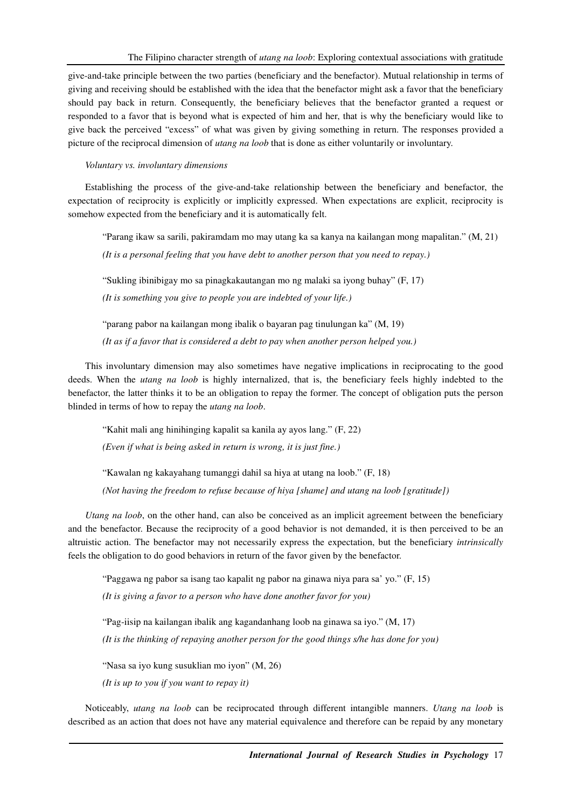give-and-take principle between the two parties (beneficiary and the benefactor). Mutual relationship in terms of giving and receiving should be established with the idea that the benefactor might ask a favor that the beneficiary should pay back in return. Consequently, the beneficiary believes that the benefactor granted a request or responded to a favor that is beyond what is expected of him and her, that is why the beneficiary would like to give back the perceived "excess" of what was given by giving something in return. The responses provided a picture of the reciprocal dimension of *utang na loob* that is done as either voluntarily or involuntary.

*Voluntary vs. involuntary dimensions* 

Establishing the process of the give-and-take relationship between the beneficiary and benefactor, the expectation of reciprocity is explicitly or implicitly expressed. When expectations are explicit, reciprocity is somehow expected from the beneficiary and it is automatically felt.

"Parang ikaw sa sarili, pakiramdam mo may utang ka sa kanya na kailangan mong mapalitan." (M, 21) *(It is a personal feeling that you have debt to another person that you need to repay.)* 

"Sukling ibinibigay mo sa pinagkakautangan mo ng malaki sa iyong buhay" (F, 17) *(It is something you give to people you are indebted of your life.)* 

"parang pabor na kailangan mong ibalik o bayaran pag tinulungan ka" (M, 19) *(It as if a favor that is considered a debt to pay when another person helped you.)* 

This involuntary dimension may also sometimes have negative implications in reciprocating to the good deeds. When the *utang na loob* is highly internalized, that is, the beneficiary feels highly indebted to the benefactor, the latter thinks it to be an obligation to repay the former. The concept of obligation puts the person blinded in terms of how to repay the *utang na loob*.

"Kahit mali ang hinihinging kapalit sa kanila ay ayos lang." (F, 22)

*(Even if what is being asked in return is wrong, it is just fine.)* 

"Kawalan ng kakayahang tumanggi dahil sa hiya at utang na loob." (F, 18)

*(Not having the freedom to refuse because of hiya [shame] and utang na loob [gratitude])* 

*Utang na loob*, on the other hand, can also be conceived as an implicit agreement between the beneficiary and the benefactor. Because the reciprocity of a good behavior is not demanded, it is then perceived to be an altruistic action. The benefactor may not necessarily express the expectation, but the beneficiary *intrinsically* feels the obligation to do good behaviors in return of the favor given by the benefactor.

"Paggawa ng pabor sa isang tao kapalit ng pabor na ginawa niya para sa' yo." (F, 15)

*(It is giving a favor to a person who have done another favor for you)* 

"Pag-iisip na kailangan ibalik ang kagandanhang loob na ginawa sa iyo." (M, 17)

*(It is the thinking of repaying another person for the good things s/he has done for you)* 

"Nasa sa iyo kung susuklian mo iyon" (M, 26)

*(It is up to you if you want to repay it)*

Noticeably, *utang na loob* can be reciprocated through different intangible manners. *Utang na loob* is described as an action that does not have any material equivalence and therefore can be repaid by any monetary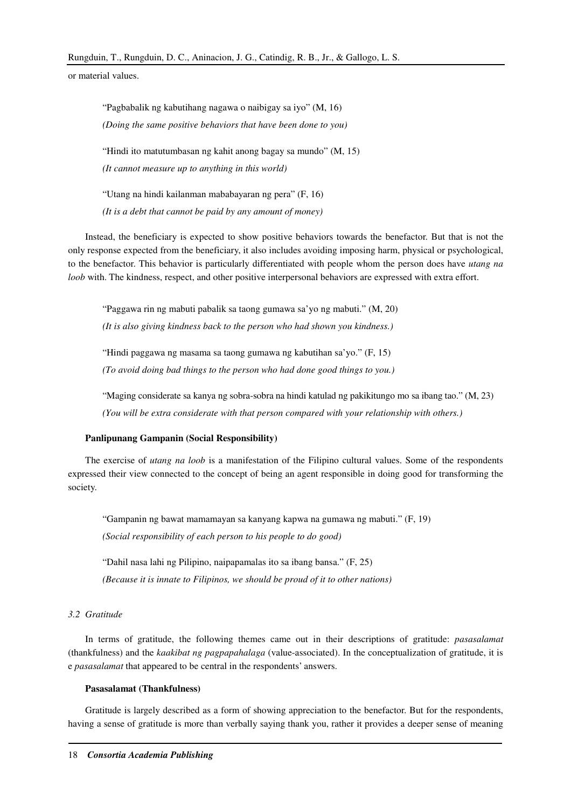or material values.

"Pagbabalik ng kabutihang nagawa o naibigay sa iyo" (M, 16) *(Doing the same positive behaviors that have been done to you)*  "Hindi ito matutumbasan ng kahit anong bagay sa mundo" (M, 15) *(It cannot measure up to anything in this world)* 

"Utang na hindi kailanman mababayaran ng pera" (F, 16) *(It is a debt that cannot be paid by any amount of money)* 

Instead, the beneficiary is expected to show positive behaviors towards the benefactor. But that is not the only response expected from the beneficiary, it also includes avoiding imposing harm, physical or psychological, to the benefactor. This behavior is particularly differentiated with people whom the person does have *utang na loob* with. The kindness, respect, and other positive interpersonal behaviors are expressed with extra effort.

"Paggawa rin ng mabuti pabalik sa taong gumawa sa'yo ng mabuti." (M, 20) *(It is also giving kindness back to the person who had shown you kindness.)* 

"Hindi paggawa ng masama sa taong gumawa ng kabutihan sa'yo." (F, 15) *(To avoid doing bad things to the person who had done good things to you.)* 

"Maging considerate sa kanya ng sobra-sobra na hindi katulad ng pakikitungo mo sa ibang tao." (M, 23) *(You will be extra considerate with that person compared with your relationship with others.)* 

#### **Panlipunang Gampanin (Social Responsibility)**

The exercise of *utang na loob* is a manifestation of the Filipino cultural values. Some of the respondents expressed their view connected to the concept of being an agent responsible in doing good for transforming the society.

"Gampanin ng bawat mamamayan sa kanyang kapwa na gumawa ng mabuti." (F, 19) *(Social responsibility of each person to his people to do good)* 

"Dahil nasa lahi ng Pilipino, naipapamalas ito sa ibang bansa." (F, 25)

*(Because it is innate to Filipinos, we should be proud of it to other nations)* 

# *3.2 Gratitude*

In terms of gratitude, the following themes came out in their descriptions of gratitude: *pasasalamat* (thankfulness) and the *kaakibat ng pagpapahalaga* (value-associated). In the conceptualization of gratitude, it is e *pasasalamat* that appeared to be central in the respondents' answers.

#### **Pasasalamat (Thankfulness)**

Gratitude is largely described as a form of showing appreciation to the benefactor. But for the respondents, having a sense of gratitude is more than verbally saying thank you, rather it provides a deeper sense of meaning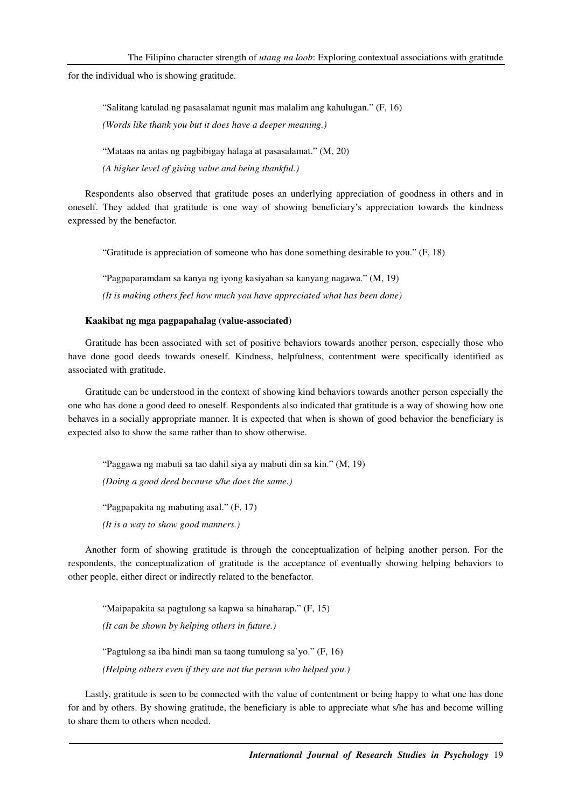for the individual who is showing gratitude.

"Salitang katulad ng pasasalamat ngunit mas malalim ang kahulugan." (F, 16)

*(Words like thank you but it does have a deeper meaning.)* 

"Mataas na antas ng pagbibigay halaga at pasasalamat." (M, 20)

*(A higher level of giving value and being thankful.)* 

Respondents also observed that gratitude poses an underlying appreciation of goodness in others and in oneself. They added that gratitude is one way of showing beneficiary's appreciation towards the kindness expressed by the benefactor.

"Gratitude is appreciation of someone who has done something desirable to you." (F, 18)

"Pagpaparamdam sa kanya ng iyong kasiyahan sa kanyang nagawa." (M, 19) *(It is making others feel how much you have appreciated what has been done)* 

# **Kaakibat ng mga pagpapahalag (value-associated)**

Gratitude has been associated with set of positive behaviors towards another person, especially those who have done good deeds towards oneself. Kindness, helpfulness, contentment were specifically identified as associated with gratitude.

Gratitude can be understood in the context of showing kind behaviors towards another person especially the one who has done a good deed to oneself. Respondents also indicated that gratitude is a way of showing how one behaves in a socially appropriate manner. It is expected that when is shown of good behavior the beneficiary is expected also to show the same rather than to show otherwise.

"Paggawa ng mabuti sa tao dahil siya ay mabuti din sa kin." (M, 19) *(Doing a good deed because s/he does the same.)* 

"Pagpapakita ng mabuting asal." (F, 17)

*(It is a way to show good manners.)* 

Another form of showing gratitude is through the conceptualization of helping another person. For the respondents, the conceptualization of gratitude is the acceptance of eventually showing helping behaviors to other people, either direct or indirectly related to the benefactor.

"Maipapakita sa pagtulong sa kapwa sa hinaharap." (F, 15) *(It can be shown by helping others in future.)*  "Pagtulong sa iba hindi man sa taong tumulong sa'yo." (F, 16) *(Helping others even if they are not the person who helped you.)* 

Lastly, gratitude is seen to be connected with the value of contentment or being happy to what one has done for and by others. By showing gratitude, the beneficiary is able to appreciate what s/he has and become willing to share them to others when needed.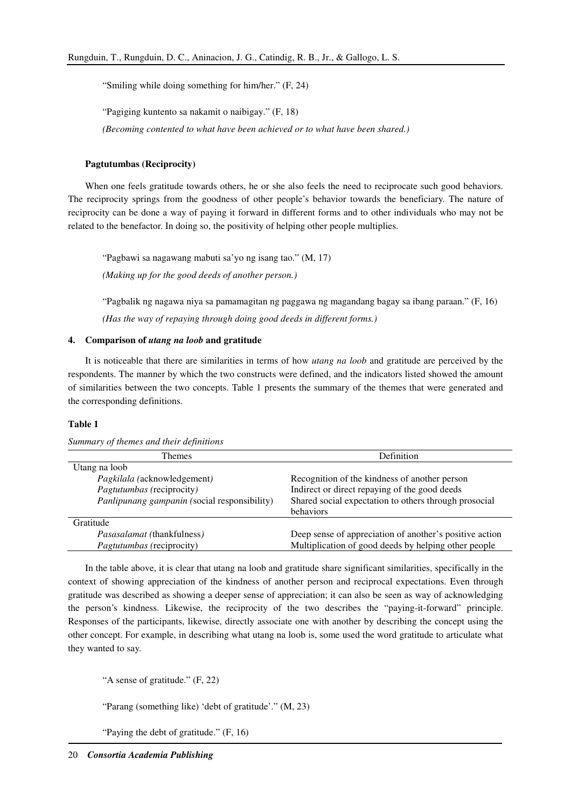"Smiling while doing something for him/her." (F, 24)

"Pagiging kuntento sa nakamit o naibigay." (F, 18)

*(Becoming contented to what have been achieved or to what have been shared.)* 

#### **Pagtutumbas (Reciprocity)**

When one feels gratitude towards others, he or she also feels the need to reciprocate such good behaviors. The reciprocity springs from the goodness of other people's behavior towards the beneficiary. The nature of reciprocity can be done a way of paying it forward in different forms and to other individuals who may not be related to the benefactor. In doing so, the positivity of helping other people multiplies.

"Pagbawi sa nagawang mabuti sa'yo ng isang tao." (M, 17) *(Making up for the good deeds of another person.)* 

"Pagbalik ng nagawa niya sa pamamagitan ng paggawa ng magandang bagay sa ibang paraan." (F, 16) *(Has the way of repaying through doing good deeds in different forms.)* 

#### **4. Comparison of** *utang na loob* **and gratitude**

It is noticeable that there are similarities in terms of how *utang na loob* and gratitude are perceived by the respondents. The manner by which the two constructs were defined, and the indicators listed showed the amount of similarities between the two concepts. Table 1 presents the summary of the themes that were generated and the corresponding definitions.

# **Table 1**

*Summary of themes and their definitions* 

| <b>Themes</b>                                | Definition                                              |
|----------------------------------------------|---------------------------------------------------------|
| Utang na loob                                |                                                         |
| Pagkilala (acknowledgement)                  | Recognition of the kindness of another person           |
| Pagtutumbas (reciprocity)                    | Indirect or direct repaying of the good deeds           |
| Panlipunang gampanin (social responsibility) | Shared social expectation to others through prosocial   |
|                                              | behaviors                                               |
| Gratitude                                    |                                                         |
| <i>Pasasalamat</i> (thankfulness)            | Deep sense of appreciation of another's positive action |
| <i>Pagtutumbas</i> (reciprocity)             | Multiplication of good deeds by helping other people    |

In the table above, it is clear that utang na loob and gratitude share significant similarities, specifically in the context of showing appreciation of the kindness of another person and reciprocal expectations. Even through gratitude was described as showing a deeper sense of appreciation; it can also be seen as way of acknowledging the person's kindness. Likewise, the reciprocity of the two describes the "paying-it-forward" principle. Responses of the participants, likewise, directly associate one with another by describing the concept using the other concept. For example, in describing what utang na loob is, some used the word gratitude to articulate what they wanted to say.

"A sense of gratitude." (F, 22)

"Parang (something like) 'debt of gratitude'." (M, 23)

"Paying the debt of gratitude." (F, 16)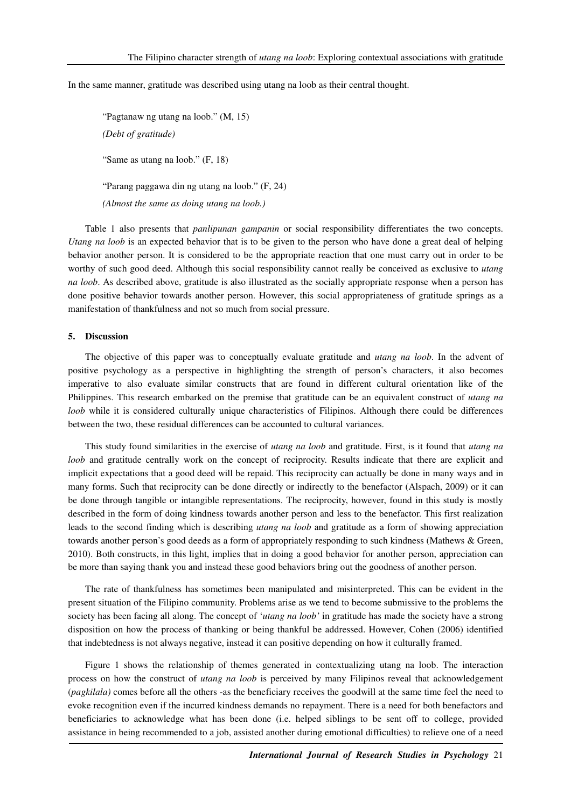In the same manner, gratitude was described using utang na loob as their central thought.

"Pagtanaw ng utang na loob." (M, 15) *(Debt of gratitude)*  "Same as utang na loob." (F, 18) "Parang paggawa din ng utang na loob." (F, 24) *(Almost the same as doing utang na loob.)* 

Table 1 also presents that *panlipunan gampanin* or social responsibility differentiates the two concepts. *Utang na loob* is an expected behavior that is to be given to the person who have done a great deal of helping behavior another person. It is considered to be the appropriate reaction that one must carry out in order to be worthy of such good deed. Although this social responsibility cannot really be conceived as exclusive to *utang na loob*. As described above, gratitude is also illustrated as the socially appropriate response when a person has done positive behavior towards another person. However, this social appropriateness of gratitude springs as a manifestation of thankfulness and not so much from social pressure.

#### **5. Discussion**

The objective of this paper was to conceptually evaluate gratitude and *utang na loob*. In the advent of positive psychology as a perspective in highlighting the strength of person's characters, it also becomes imperative to also evaluate similar constructs that are found in different cultural orientation like of the Philippines. This research embarked on the premise that gratitude can be an equivalent construct of *utang na loob* while it is considered culturally unique characteristics of Filipinos. Although there could be differences between the two, these residual differences can be accounted to cultural variances.

This study found similarities in the exercise of *utang na loob* and gratitude. First, is it found that *utang na loob* and gratitude centrally work on the concept of reciprocity. Results indicate that there are explicit and implicit expectations that a good deed will be repaid. This reciprocity can actually be done in many ways and in many forms. Such that reciprocity can be done directly or indirectly to the benefactor (Alspach, 2009) or it can be done through tangible or intangible representations. The reciprocity, however, found in this study is mostly described in the form of doing kindness towards another person and less to the benefactor. This first realization leads to the second finding which is describing *utang na loob* and gratitude as a form of showing appreciation towards another person's good deeds as a form of appropriately responding to such kindness (Mathews & Green, 2010). Both constructs, in this light, implies that in doing a good behavior for another person, appreciation can be more than saying thank you and instead these good behaviors bring out the goodness of another person.

The rate of thankfulness has sometimes been manipulated and misinterpreted. This can be evident in the present situation of the Filipino community. Problems arise as we tend to become submissive to the problems the society has been facing all along. The concept of '*utang na loob'* in gratitude has made the society have a strong disposition on how the process of thanking or being thankful be addressed. However, Cohen (2006) identified that indebtedness is not always negative, instead it can positive depending on how it culturally framed.

Figure 1 shows the relationship of themes generated in contextualizing utang na loob. The interaction process on how the construct of *utang na loob* is perceived by many Filipinos reveal that acknowledgement (*pagkilala)* comes before all the others -as the beneficiary receives the goodwill at the same time feel the need to evoke recognition even if the incurred kindness demands no repayment. There is a need for both benefactors and beneficiaries to acknowledge what has been done (i.e. helped siblings to be sent off to college, provided assistance in being recommended to a job, assisted another during emotional difficulties) to relieve one of a need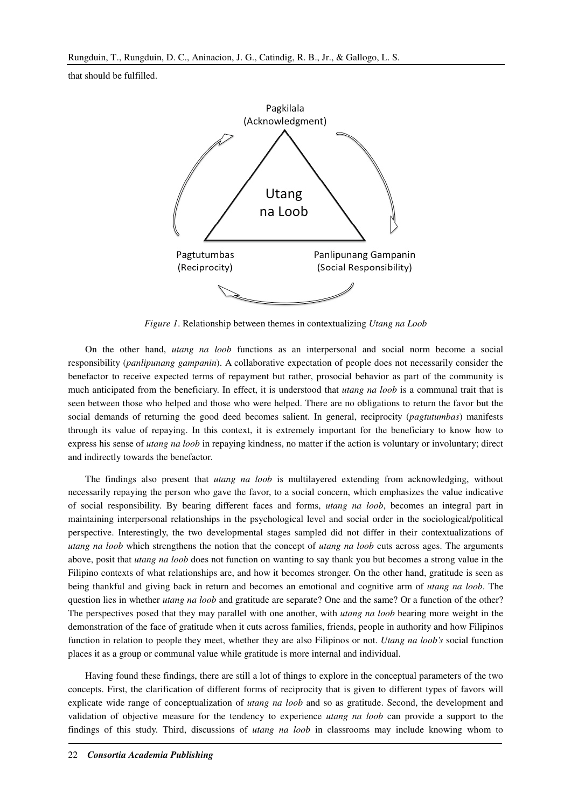that should be fulfilled.



*Figure 1*. Relationship between themes in contextualizing *Utang na Loob*

On the other hand, *utang na loob* functions as an interpersonal and social norm become a social responsibility (*panlipunang gampanin*). A collaborative expectation of people does not necessarily consider the benefactor to receive expected terms of repayment but rather, prosocial behavior as part of the community is much anticipated from the beneficiary. In effect, it is understood that *utang na loob* is a communal trait that is seen between those who helped and those who were helped. There are no obligations to return the favor but the social demands of returning the good deed becomes salient. In general, reciprocity (*pagtutumbas*) manifests through its value of repaying. In this context, it is extremely important for the beneficiary to know how to express his sense of *utang na loob* in repaying kindness, no matter if the action is voluntary or involuntary; direct and indirectly towards the benefactor.

The findings also present that *utang na loob* is multilayered extending from acknowledging, without necessarily repaying the person who gave the favor, to a social concern, which emphasizes the value indicative of social responsibility. By bearing different faces and forms, *utang na loob*, becomes an integral part in maintaining interpersonal relationships in the psychological level and social order in the sociological/political perspective. Interestingly, the two developmental stages sampled did not differ in their contextualizations of *utang na loob* which strengthens the notion that the concept of *utang na loob* cuts across ages. The arguments above, posit that *utang na loob* does not function on wanting to say thank you but becomes a strong value in the Filipino contexts of what relationships are, and how it becomes stronger. On the other hand, gratitude is seen as being thankful and giving back in return and becomes an emotional and cognitive arm of *utang na loob*. The question lies in whether *utang na loob* and gratitude are separate? One and the same? Or a function of the other? The perspectives posed that they may parallel with one another, with *utang na loob* bearing more weight in the demonstration of the face of gratitude when it cuts across families, friends, people in authority and how Filipinos function in relation to people they meet, whether they are also Filipinos or not. *Utang na loob's* social function places it as a group or communal value while gratitude is more internal and individual.

Having found these findings, there are still a lot of things to explore in the conceptual parameters of the two concepts. First, the clarification of different forms of reciprocity that is given to different types of favors will explicate wide range of conceptualization of *utang na loob* and so as gratitude. Second, the development and validation of objective measure for the tendency to experience *utang na loob* can provide a support to the findings of this study. Third, discussions of *utang na loob* in classrooms may include knowing whom to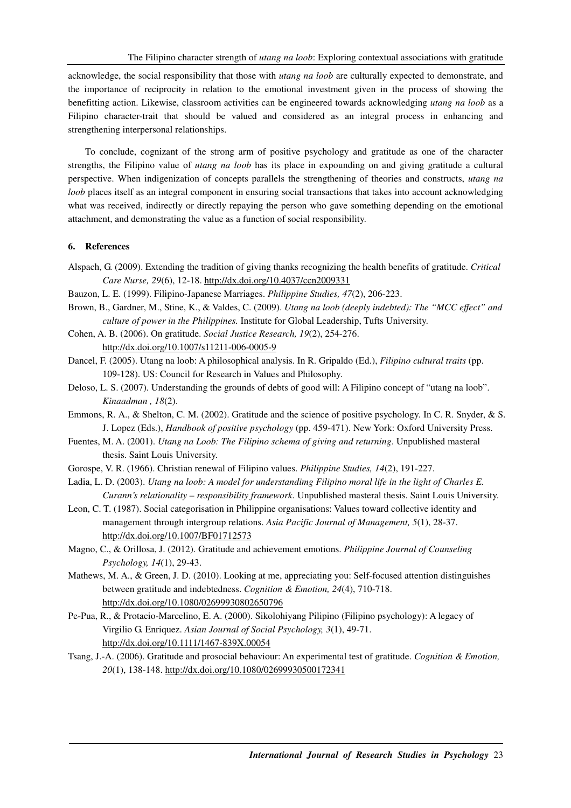acknowledge, the social responsibility that those with *utang na loob* are culturally expected to demonstrate, and the importance of reciprocity in relation to the emotional investment given in the process of showing the benefitting action. Likewise, classroom activities can be engineered towards acknowledging *utang na loob* as a Filipino character-trait that should be valued and considered as an integral process in enhancing and strengthening interpersonal relationships.

To conclude, cognizant of the strong arm of positive psychology and gratitude as one of the character strengths, the Filipino value of *utang na loob* has its place in expounding on and giving gratitude a cultural perspective. When indigenization of concepts parallels the strengthening of theories and constructs, *utang na loob* places itself as an integral component in ensuring social transactions that takes into account acknowledging what was received, indirectly or directly repaying the person who gave something depending on the emotional attachment, and demonstrating the value as a function of social responsibility.

# **6. References**

- Alspach, G. (2009). Extending the tradition of giving thanks recognizing the health benefits of gratitude. *Critical Care Nurse, 29*(6), 12-18. http://dx.doi.org/10.4037/ccn2009331
- Bauzon, L. E. (1999). Filipino-Japanese Marriages. *Philippine Studies, 47*(2), 206-223.
- Brown, B., Gardner, M., Stine, K., & Valdes, C. (2009). *Utang na loob (deeply indebted): The "MCC effect" and culture of power in the Philippines.* Institute for Global Leadership, Tufts University.
- Cohen, A. B. (2006). On gratitude. *Social Justice Research, 19*(2), 254-276. http://dx.doi.org/10.1007/s11211-006-0005-9
- Dancel, F. (2005). Utang na loob: A philosophical analysis. In R. Gripaldo (Ed.), *Filipino cultural traits* (pp. 109-128). US: Council for Research in Values and Philosophy.
- Deloso, L. S. (2007). Understanding the grounds of debts of good will: A Filipino concept of "utang na loob". *Kinaadman , 18*(2).
- Emmons, R. A., & Shelton, C. M. (2002). Gratitude and the science of positive psychology. In C. R. Snyder, & S. J. Lopez (Eds.), *Handbook of positive psychology* (pp. 459-471). New York: Oxford University Press.
- Fuentes, M. A. (2001). *Utang na Loob: The Filipino schema of giving and returning*. Unpublished masteral thesis. Saint Louis University.
- Gorospe, V. R. (1966). Christian renewal of Filipino values. *Philippine Studies, 14*(2), 191-227.
- Ladia, L. D. (2003). *Utang na loob: A model for understandimg Filipino moral life in the light of Charles E. Curann's relationality – responsibility framework*. Unpublished masteral thesis. Saint Louis University.
- Leon, C. T. (1987). Social categorisation in Philippine organisations: Values toward collective identity and management through intergroup relations. *Asia Pacific Journal of Management, 5*(1), 28-37. http://dx.doi.org/10.1007/BF01712573
- Magno, C., & Orillosa, J. (2012). Gratitude and achievement emotions. *Philippine Journal of Counseling Psychology, 14*(1), 29-43.
- Mathews, M. A., & Green, J. D. (2010). Looking at me, appreciating you: Self-focused attention distinguishes between gratitude and indebtedness. *Cognition & Emotion, 24*(4), 710-718. http://dx.doi.org/10.1080/02699930802650796
- Pe-Pua, R., & Protacio-Marcelino, E. A. (2000). Sikolohiyang Pilipino (Filipino psychology): A legacy of Virgilio G. Enriquez. *Asian Journal of Social Psychology, 3*(1), 49-71. http://dx.doi.org/10.1111/1467-839X.00054
- Tsang, J.-A. (2006). Gratitude and prosocial behaviour: An experimental test of gratitude. *Cognition & Emotion, 20*(1), 138-148. http://dx.doi.org/10.1080/02699930500172341